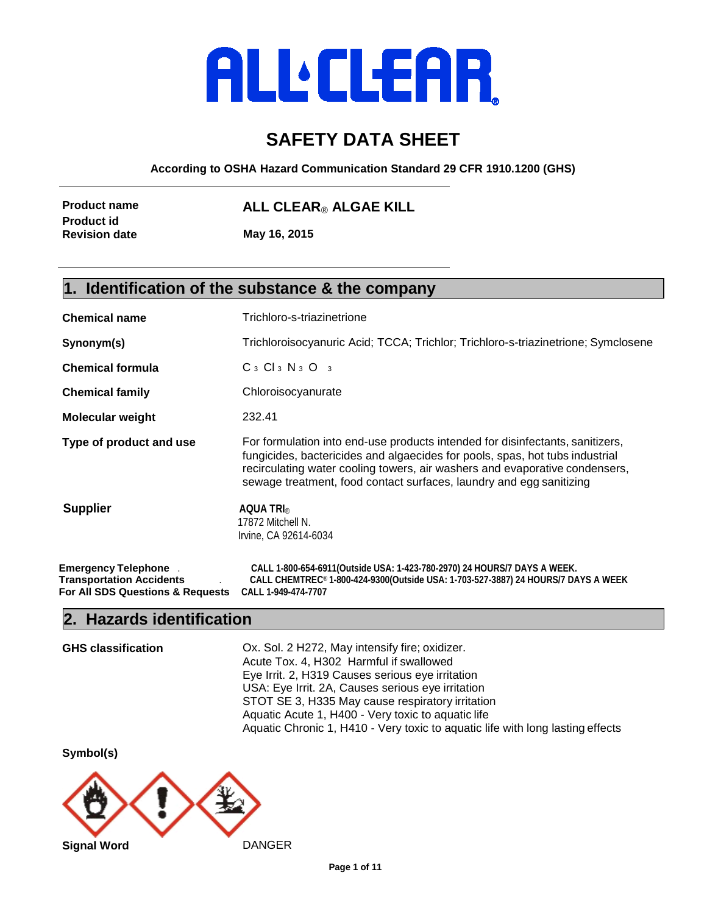# **ALLELEAR**

# **SAFETY DATA SHEET**

**According to OSHA Hazard Communication Standard 29 CFR 1910.1200 (GHS)**

| <b>Product name</b>  | ALL CLEAR® ALGAE KILL |  |
|----------------------|-----------------------|--|
| Product id           |                       |  |
| <b>Revision date</b> | May 16, 2015          |  |
|                      |                       |  |

#### **1. Identification of the substance & the company**

| <b>Chemical name</b>                                                                              | Trichloro-s-triazinetrione                                                                                                                                                                                                                                                                                          |  |  |
|---------------------------------------------------------------------------------------------------|---------------------------------------------------------------------------------------------------------------------------------------------------------------------------------------------------------------------------------------------------------------------------------------------------------------------|--|--|
| Synonym(s)                                                                                        | Trichloroisocyanuric Acid; TCCA; Trichlor; Trichloro-s-triazinetrione; Symclosene                                                                                                                                                                                                                                   |  |  |
| <b>Chemical formula</b>                                                                           | $C_3$ $Cl_3$ $N_3$ $O_3$                                                                                                                                                                                                                                                                                            |  |  |
| <b>Chemical family</b>                                                                            | Chloroisocyanurate                                                                                                                                                                                                                                                                                                  |  |  |
| <b>Molecular weight</b>                                                                           | 232.41                                                                                                                                                                                                                                                                                                              |  |  |
| Type of product and use                                                                           | For formulation into end-use products intended for disinfectants, sanitizers,<br>fungicides, bactericides and algaecides for pools, spas, hot tubs industrial<br>recirculating water cooling towers, air washers and evaporative condensers,<br>sewage treatment, food contact surfaces, laundry and egg sanitizing |  |  |
| <b>Supplier</b>                                                                                   | AQUA TRI®<br>17872 Mitchell N.<br>Irvine, CA 92614-6034                                                                                                                                                                                                                                                             |  |  |
| <b>Emergency Telephone</b><br><b>Transportation Accidents</b><br>For All SDS Questions & Requests | CALL 1-800-654-6911 (Outside USA: 1-423-780-2970) 24 HOURS/7 DAYS A WEEK.<br>CALL CHEMTREC®1-800-424-9300(Outside USA: 1-703-527-3887) 24 HOURS/7 DAYS A WEEK<br>CALL 1-949-474-7707                                                                                                                                |  |  |

#### **2. Hazards identification**

**GHS classification** Ox. Sol. 2 H272, May intensify fire; oxidizer. Acute Tox. 4, H302 Harmful if swallowed Eye Irrit. 2, H319 Causes serious eye irritation USA: Eye Irrit. 2A, Causes serious eye irritation STOT SE 3, H335 May cause respiratory irritation Aquatic Acute 1, H400 - Very toxic to aquatic life Aquatic Chronic 1, H410 - Very toxic to aquatic life with long lasting effects

**Symbol(s)**

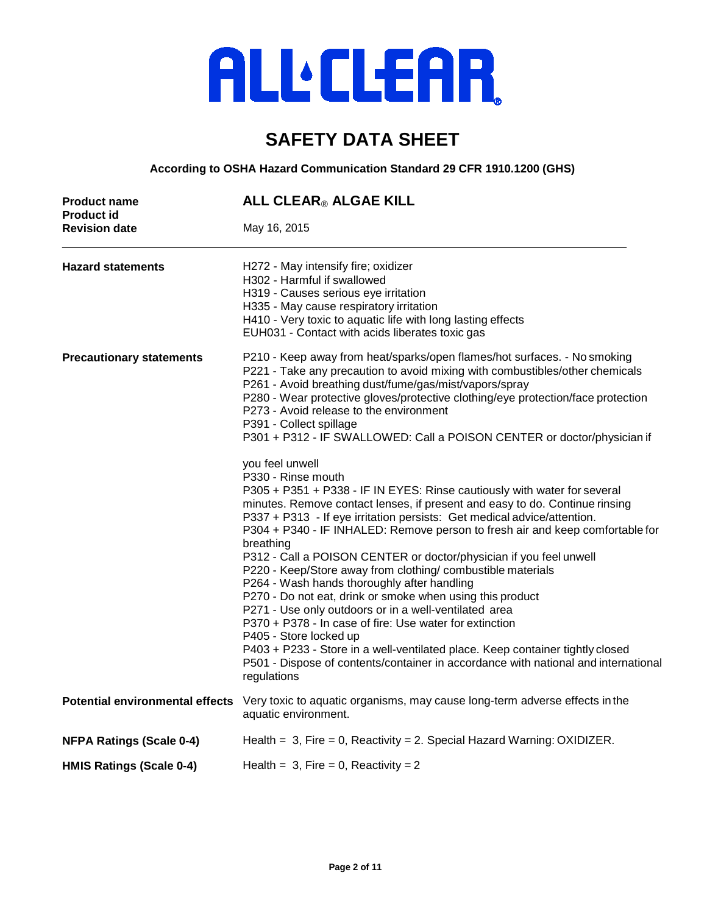## **SAFETY DATA SHEET**

**According to OSHA Hazard Communication Standard 29 CFR 1910.1200 (GHS)**

| <b>Product name</b><br><b>Product id</b> | ALL CLEAR® ALGAE KILL                                                                                                                                                                                                                                                                                                                                                                                                                                                                                                                                                                                                                                                                                                                                                                                                                                                                                                                                          |  |  |
|------------------------------------------|----------------------------------------------------------------------------------------------------------------------------------------------------------------------------------------------------------------------------------------------------------------------------------------------------------------------------------------------------------------------------------------------------------------------------------------------------------------------------------------------------------------------------------------------------------------------------------------------------------------------------------------------------------------------------------------------------------------------------------------------------------------------------------------------------------------------------------------------------------------------------------------------------------------------------------------------------------------|--|--|
| <b>Revision date</b>                     | May 16, 2015                                                                                                                                                                                                                                                                                                                                                                                                                                                                                                                                                                                                                                                                                                                                                                                                                                                                                                                                                   |  |  |
| <b>Hazard statements</b>                 | H272 - May intensify fire; oxidizer<br>H302 - Harmful if swallowed<br>H319 - Causes serious eye irritation<br>H335 - May cause respiratory irritation<br>H410 - Very toxic to aquatic life with long lasting effects<br>EUH031 - Contact with acids liberates toxic gas                                                                                                                                                                                                                                                                                                                                                                                                                                                                                                                                                                                                                                                                                        |  |  |
| <b>Precautionary statements</b>          | P210 - Keep away from heat/sparks/open flames/hot surfaces. - No smoking<br>P221 - Take any precaution to avoid mixing with combustibles/other chemicals<br>P261 - Avoid breathing dust/fume/gas/mist/vapors/spray<br>P280 - Wear protective gloves/protective clothing/eye protection/face protection<br>P273 - Avoid release to the environment<br>P391 - Collect spillage<br>P301 + P312 - IF SWALLOWED: Call a POISON CENTER or doctor/physician if                                                                                                                                                                                                                                                                                                                                                                                                                                                                                                        |  |  |
|                                          | you feel unwell<br>P330 - Rinse mouth<br>P305 + P351 + P338 - IF IN EYES: Rinse cautiously with water for several<br>minutes. Remove contact lenses, if present and easy to do. Continue rinsing<br>P337 + P313 - If eye irritation persists: Get medical advice/attention.<br>P304 + P340 - IF INHALED: Remove person to fresh air and keep comfortable for<br>breathing<br>P312 - Call a POISON CENTER or doctor/physician if you feel unwell<br>P220 - Keep/Store away from clothing/ combustible materials<br>P264 - Wash hands thoroughly after handling<br>P270 - Do not eat, drink or smoke when using this product<br>P271 - Use only outdoors or in a well-ventilated area<br>P370 + P378 - In case of fire: Use water for extinction<br>P405 - Store locked up<br>P403 + P233 - Store in a well-ventilated place. Keep container tightly closed<br>P501 - Dispose of contents/container in accordance with national and international<br>regulations |  |  |
| <b>Potential environmental effects</b>   | Very toxic to aquatic organisms, may cause long-term adverse effects in the<br>aquatic environment.                                                                                                                                                                                                                                                                                                                                                                                                                                                                                                                                                                                                                                                                                                                                                                                                                                                            |  |  |
| <b>NFPA Ratings (Scale 0-4)</b>          | Health = $3$ , Fire = 0, Reactivity = 2. Special Hazard Warning: OXIDIZER.                                                                                                                                                                                                                                                                                                                                                                                                                                                                                                                                                                                                                                                                                                                                                                                                                                                                                     |  |  |
| <b>HMIS Ratings (Scale 0-4)</b>          | Health = $3$ , Fire = 0, Reactivity = 2                                                                                                                                                                                                                                                                                                                                                                                                                                                                                                                                                                                                                                                                                                                                                                                                                                                                                                                        |  |  |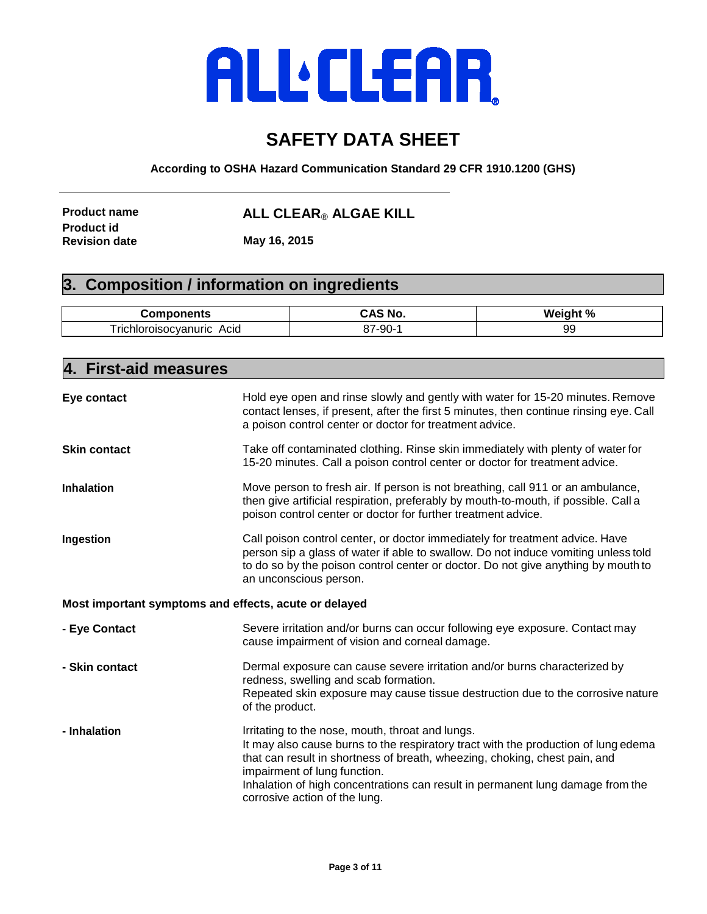### **SAFETY DATA SHEET**

**According to OSHA Hazard Communication Standard 29 CFR 1910.1200 (GHS)**

**Product id** 

**Product name ALL CLEAR**® **ALGAE KILL**

**Revision date May 16, 2015**

#### **3. Composition / information on ingredients**

| Components                                        | NO                               | $\Omega$<br>Weight<br>7٥ |
|---------------------------------------------------|----------------------------------|--------------------------|
| –<br>.<br>Acid<br>າບກເ<br>- 10<br>TK.<br>.<br>าเด | ΩΩ<br>ົ<br>--<br>--<br>.,<br>ັບປ | ac<br>JJ.                |

| 4.<br><b>First-aid measures</b>                       |                                                                                                                                                                                                                                                                                                                                                                         |
|-------------------------------------------------------|-------------------------------------------------------------------------------------------------------------------------------------------------------------------------------------------------------------------------------------------------------------------------------------------------------------------------------------------------------------------------|
| Eye contact                                           | Hold eye open and rinse slowly and gently with water for 15-20 minutes. Remove<br>contact lenses, if present, after the first 5 minutes, then continue rinsing eye. Call<br>a poison control center or doctor for treatment advice.                                                                                                                                     |
| <b>Skin contact</b>                                   | Take off contaminated clothing. Rinse skin immediately with plenty of water for<br>15-20 minutes. Call a poison control center or doctor for treatment advice.                                                                                                                                                                                                          |
| <b>Inhalation</b>                                     | Move person to fresh air. If person is not breathing, call 911 or an ambulance,<br>then give artificial respiration, preferably by mouth-to-mouth, if possible. Call a<br>poison control center or doctor for further treatment advice.                                                                                                                                 |
| Ingestion                                             | Call poison control center, or doctor immediately for treatment advice. Have<br>person sip a glass of water if able to swallow. Do not induce vomiting unless told<br>to do so by the poison control center or doctor. Do not give anything by mouth to<br>an unconscious person.                                                                                       |
| Most important symptoms and effects, acute or delayed |                                                                                                                                                                                                                                                                                                                                                                         |
| - Eye Contact                                         | Severe irritation and/or burns can occur following eye exposure. Contact may<br>cause impairment of vision and corneal damage.                                                                                                                                                                                                                                          |
| - Skin contact                                        | Dermal exposure can cause severe irritation and/or burns characterized by<br>redness, swelling and scab formation.<br>Repeated skin exposure may cause tissue destruction due to the corrosive nature<br>of the product.                                                                                                                                                |
| - Inhalation                                          | Irritating to the nose, mouth, throat and lungs.<br>It may also cause burns to the respiratory tract with the production of lung edema<br>that can result in shortness of breath, wheezing, choking, chest pain, and<br>impairment of lung function.<br>Inhalation of high concentrations can result in permanent lung damage from the<br>corrosive action of the lung. |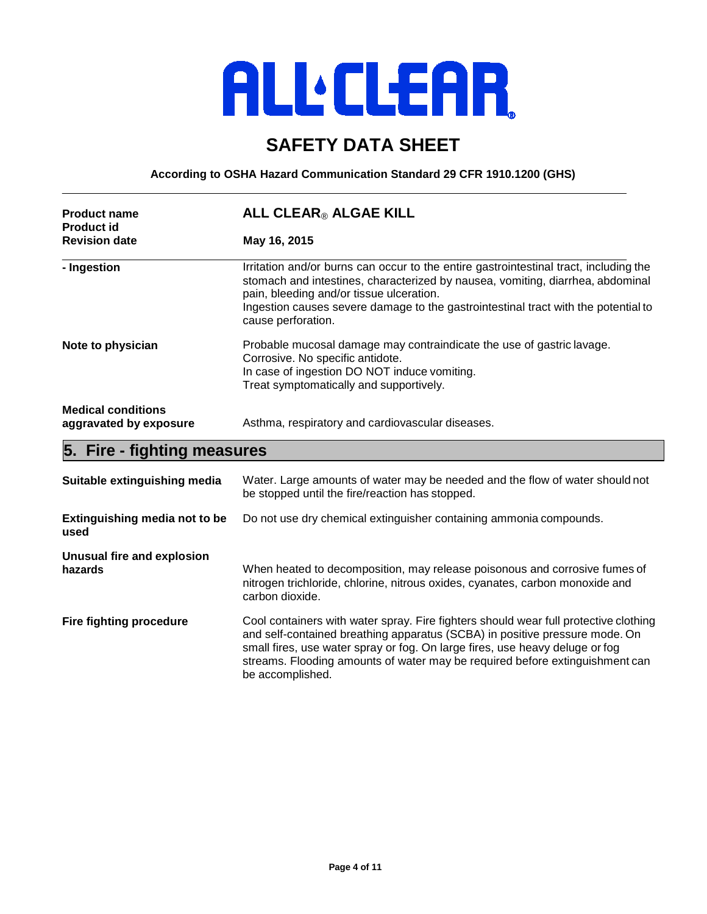### **SAFETY DATA SHEET**

**According to OSHA Hazard Communication Standard 29 CFR 1910.1200 (GHS)**

| <b>Product name</b><br><b>Product id</b>            | ALL CLEAR® ALGAE KILL<br>May 16, 2015                                                                                                                                                                                                                                                                                           |  |  |
|-----------------------------------------------------|---------------------------------------------------------------------------------------------------------------------------------------------------------------------------------------------------------------------------------------------------------------------------------------------------------------------------------|--|--|
| <b>Revision date</b>                                |                                                                                                                                                                                                                                                                                                                                 |  |  |
| - Ingestion                                         | Irritation and/or burns can occur to the entire gastrointestinal tract, including the<br>stomach and intestines, characterized by nausea, vomiting, diarrhea, abdominal<br>pain, bleeding and/or tissue ulceration.<br>Ingestion causes severe damage to the gastrointestinal tract with the potential to<br>cause perforation. |  |  |
| Note to physician                                   | Probable mucosal damage may contraindicate the use of gastric lavage.<br>Corrosive. No specific antidote.<br>In case of ingestion DO NOT induce vomiting.<br>Treat symptomatically and supportively.                                                                                                                            |  |  |
| <b>Medical conditions</b><br>aggravated by exposure | Asthma, respiratory and cardiovascular diseases.                                                                                                                                                                                                                                                                                |  |  |
| 5. Fire - fighting measures                         |                                                                                                                                                                                                                                                                                                                                 |  |  |

| Suitable extinguishing media          | Water. Large amounts of water may be needed and the flow of water should not<br>be stopped until the fire/reaction has stopped.                                                                                                                                                                                                                         |  |
|---------------------------------------|---------------------------------------------------------------------------------------------------------------------------------------------------------------------------------------------------------------------------------------------------------------------------------------------------------------------------------------------------------|--|
| Extinguishing media not to be<br>used | Do not use dry chemical extinguisher containing ammonia compounds.                                                                                                                                                                                                                                                                                      |  |
| Unusual fire and explosion<br>hazards | When heated to decomposition, may release poisonous and corrosive fumes of<br>nitrogen trichloride, chlorine, nitrous oxides, cyanates, carbon monoxide and<br>carbon dioxide.                                                                                                                                                                          |  |
| <b>Fire fighting procedure</b>        | Cool containers with water spray. Fire fighters should wear full protective clothing<br>and self-contained breathing apparatus (SCBA) in positive pressure mode. On<br>small fires, use water spray or fog. On large fires, use heavy deluge or fog<br>streams. Flooding amounts of water may be required before extinguishment can<br>be accomplished. |  |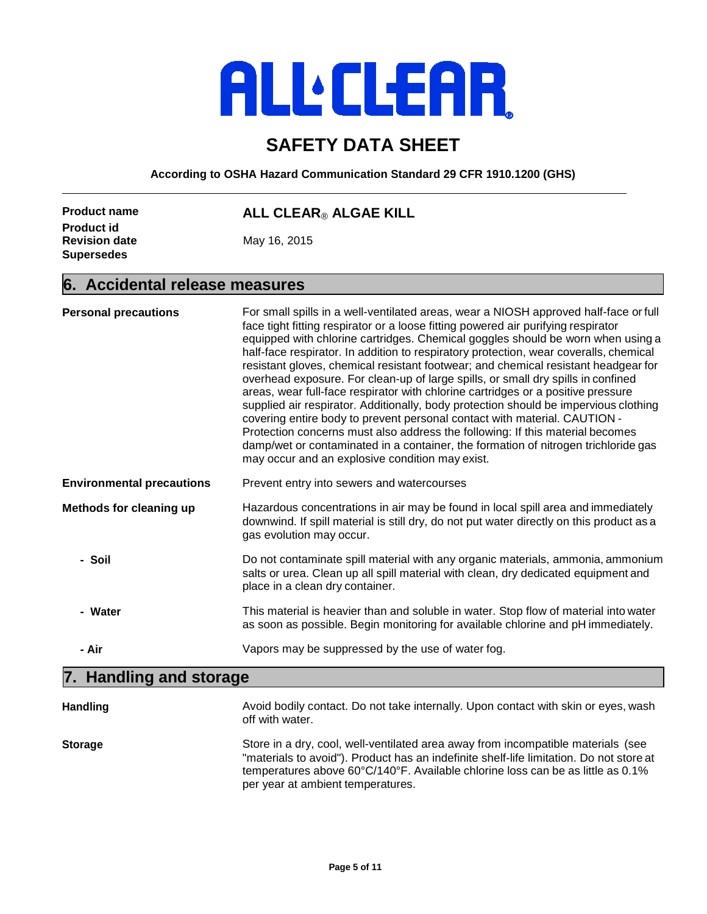### **SAFETY DATA SHEET**

**According to OSHA Hazard Communication Standard 29 CFR 1910.1200 (GHS)**

| <b>Product name</b>  |  |
|----------------------|--|
| <b>Product id</b>    |  |
| <b>Revision date</b> |  |
| <b>Supersedes</b>    |  |

#### **Product name ALL CLEAR**® **ALGAE KILL**

**Revision date** May 16, 2015

#### **6. Accidental release measures**

| <b>Personal precautions</b>      | For small spills in a well-ventilated areas, wear a NIOSH approved half-face or full<br>face tight fitting respirator or a loose fitting powered air purifying respirator<br>equipped with chlorine cartridges. Chemical goggles should be worn when using a<br>half-face respirator. In addition to respiratory protection, wear coveralls, chemical<br>resistant gloves, chemical resistant footwear; and chemical resistant headgear for<br>overhead exposure. For clean-up of large spills, or small dry spills in confined<br>areas, wear full-face respirator with chlorine cartridges or a positive pressure<br>supplied air respirator. Additionally, body protection should be impervious clothing<br>covering entire body to prevent personal contact with material. CAUTION -<br>Protection concerns must also address the following: If this material becomes<br>damp/wet or contaminated in a container, the formation of nitrogen trichloride gas<br>may occur and an explosive condition may exist. |  |
|----------------------------------|--------------------------------------------------------------------------------------------------------------------------------------------------------------------------------------------------------------------------------------------------------------------------------------------------------------------------------------------------------------------------------------------------------------------------------------------------------------------------------------------------------------------------------------------------------------------------------------------------------------------------------------------------------------------------------------------------------------------------------------------------------------------------------------------------------------------------------------------------------------------------------------------------------------------------------------------------------------------------------------------------------------------|--|
| <b>Environmental precautions</b> | Prevent entry into sewers and watercourses                                                                                                                                                                                                                                                                                                                                                                                                                                                                                                                                                                                                                                                                                                                                                                                                                                                                                                                                                                         |  |
| Methods for cleaning up          | Hazardous concentrations in air may be found in local spill area and immediately<br>downwind. If spill material is still dry, do not put water directly on this product as a<br>gas evolution may occur.                                                                                                                                                                                                                                                                                                                                                                                                                                                                                                                                                                                                                                                                                                                                                                                                           |  |
| - Soil                           | Do not contaminate spill material with any organic materials, ammonia, ammonium<br>salts or urea. Clean up all spill material with clean, dry dedicated equipment and<br>place in a clean dry container.                                                                                                                                                                                                                                                                                                                                                                                                                                                                                                                                                                                                                                                                                                                                                                                                           |  |
| - Water                          | This material is heavier than and soluble in water. Stop flow of material into water<br>as soon as possible. Begin monitoring for available chlorine and pH immediately.                                                                                                                                                                                                                                                                                                                                                                                                                                                                                                                                                                                                                                                                                                                                                                                                                                           |  |
| - Air                            | Vapors may be suppressed by the use of water fog.                                                                                                                                                                                                                                                                                                                                                                                                                                                                                                                                                                                                                                                                                                                                                                                                                                                                                                                                                                  |  |
| 7. Handling and storage          |                                                                                                                                                                                                                                                                                                                                                                                                                                                                                                                                                                                                                                                                                                                                                                                                                                                                                                                                                                                                                    |  |

| <b>Handling</b> | Avoid bodily contact. Do not take internally. Upon contact with skin or eyes, wash<br>off with water.                                                                                                                                                                                               |
|-----------------|-----------------------------------------------------------------------------------------------------------------------------------------------------------------------------------------------------------------------------------------------------------------------------------------------------|
| <b>Storage</b>  | Store in a dry, cool, well-ventilated area away from incompatible materials (see<br>"materials to avoid"). Product has an indefinite shelf-life limitation. Do not store at<br>temperatures above 60°C/140°F. Available chlorine loss can be as little as 0.1%<br>per year at ambient temperatures. |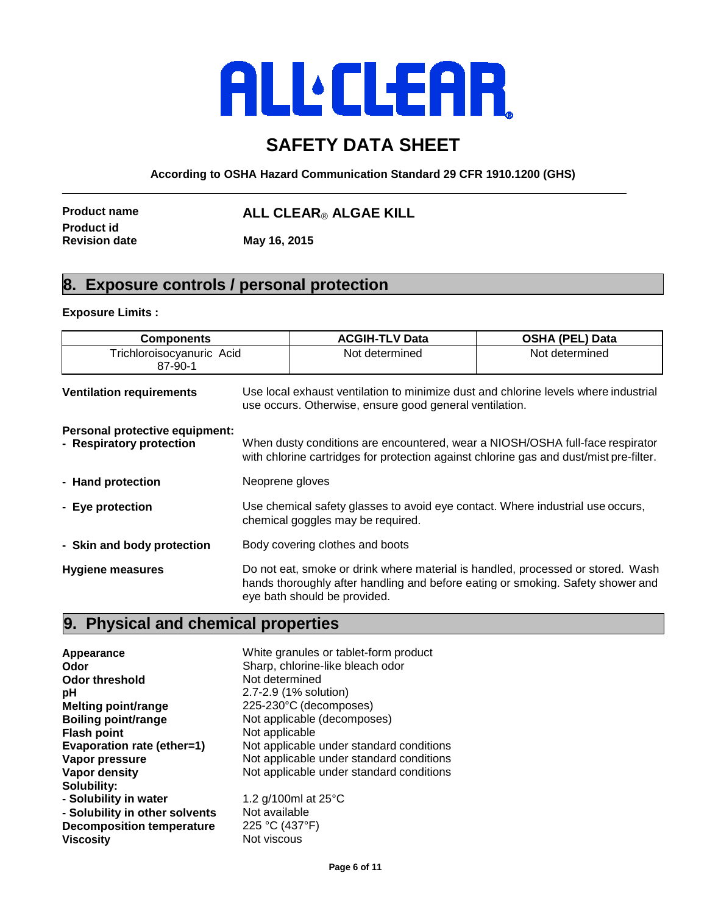### **SAFETY DATA SHEET**

**According to OSHA Hazard Communication Standard 29 CFR 1910.1200 (GHS)**

**Product id** 

**Product name ALL CLEAR**® **ALGAE KILL**

**Revision date May 16, 2015**

#### **8. Exposure controls / personal protection**

#### **Exposure Limits :**

| <b>Components</b>                                          |                                                                                                                                                                         | <b>ACGIH-TLV Data</b>                                                                                                                                                                              | <b>OSHA (PEL) Data</b> |
|------------------------------------------------------------|-------------------------------------------------------------------------------------------------------------------------------------------------------------------------|----------------------------------------------------------------------------------------------------------------------------------------------------------------------------------------------------|------------------------|
| Trichloroisocyanuric Acid<br>87-90-1                       |                                                                                                                                                                         | Not determined                                                                                                                                                                                     | Not determined         |
| <b>Ventilation requirements</b>                            | Use local exhaust ventilation to minimize dust and chlorine levels where industrial<br>use occurs. Otherwise, ensure good general ventilation.                          |                                                                                                                                                                                                    |                        |
| Personal protective equipment:<br>- Respiratory protection | When dusty conditions are encountered, wear a NIOSH/OSHA full-face respirator<br>with chlorine cartridges for protection against chlorine gas and dust/mist pre-filter. |                                                                                                                                                                                                    |                        |
| - Hand protection                                          | Neoprene gloves                                                                                                                                                         |                                                                                                                                                                                                    |                        |
| - Eye protection                                           | Use chemical safety glasses to avoid eye contact. Where industrial use occurs,<br>chemical goggles may be required.                                                     |                                                                                                                                                                                                    |                        |
| - Skin and body protection                                 | Body covering clothes and boots                                                                                                                                         |                                                                                                                                                                                                    |                        |
| <b>Hygiene measures</b>                                    |                                                                                                                                                                         | Do not eat, smoke or drink where material is handled, processed or stored. Wash<br>hands thoroughly after handling and before eating or smoking. Safety shower and<br>eye bath should be provided. |                        |

#### **9. Physical and chemical properties**

**Appearance** White granules or tablet-form product **Odor**<br> **Odor** threshold<br> **Odor** threshold<br> **Sharp, chlorine-like bleach odor**<br>
Not determined **Odor threshold**<br>pH **pH**<br> **Melting point/range**<br> **Melting point/range**<br>
225-230°C (decompo **Melting point/range** 225-230°C (decomposes)<br> **Boiling point/range** Not applicable (decompos **Boiling point/range** Not applicable (decomposes)<br> **Flash point** Not applicable **Not applicable Evaporation rate (ether=1)** Not applicable under standard conditions **Vapor pressure** Not applicable under standard conditions **Vapor pressure**<br>
Vapor density<br>
Not applicable under standard conditions<br>
Not applicable under standard conditions Not applicable under standard conditions **Solubility: - Solubility in water** 1.2 g/100ml at 25°C **- Solubility in other solvents** Not available<br>**Decomposition temperature** 225 °C (437°F) **Decomposition temperature**<br>Viscosity **Not viscous**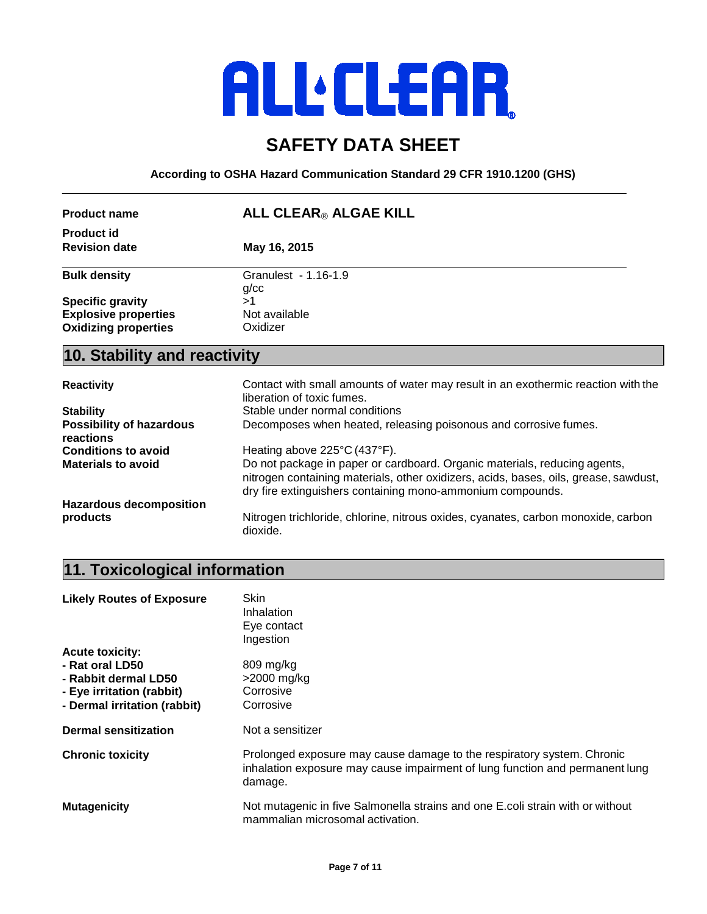# **ALL'ELEAR**

### **SAFETY DATA SHEET**

**According to OSHA Hazard Communication Standard 29 CFR 1910.1200 (GHS)**

| <b>Product name</b>                          | ALL CLEAR® ALGAE KILL                                                                                                                                                                                                           |  |  |
|----------------------------------------------|---------------------------------------------------------------------------------------------------------------------------------------------------------------------------------------------------------------------------------|--|--|
| <b>Product id</b>                            |                                                                                                                                                                                                                                 |  |  |
| <b>Revision date</b>                         | May 16, 2015                                                                                                                                                                                                                    |  |  |
| <b>Bulk density</b>                          | Granulest - 1.16-1.9<br>g/cc                                                                                                                                                                                                    |  |  |
| <b>Specific gravity</b>                      | >1                                                                                                                                                                                                                              |  |  |
| <b>Explosive properties</b>                  | Not available                                                                                                                                                                                                                   |  |  |
| <b>Oxidizing properties</b>                  | Oxidizer                                                                                                                                                                                                                        |  |  |
| 10. Stability and reactivity                 |                                                                                                                                                                                                                                 |  |  |
| <b>Reactivity</b>                            | Contact with small amounts of water may result in an exothermic reaction with the<br>liberation of toxic fumes.                                                                                                                 |  |  |
| <b>Stability</b>                             | Stable under normal conditions                                                                                                                                                                                                  |  |  |
| Possibility of hazardous<br><b>reactions</b> | Decomposes when heated, releasing poisonous and corrosive fumes.                                                                                                                                                                |  |  |
| <b>Conditions to avoid</b>                   | Heating above 225°C (437°F).                                                                                                                                                                                                    |  |  |
| <b>Materials to avoid</b>                    | Do not package in paper or cardboard. Organic materials, reducing agents,<br>nitrogen containing materials, other oxidizers, acids, bases, oils, grease, sawdust,<br>dry fire extinguishers containing mono-ammonium compounds. |  |  |
| <b>Hazardous decomposition</b>               |                                                                                                                                                                                                                                 |  |  |
| products                                     | Nitrogen trichloride, chlorine, nitrous oxides, cyanates, carbon monoxide, carbon<br>dioxide.                                                                                                                                   |  |  |
|                                              |                                                                                                                                                                                                                                 |  |  |

# **11. Toxicological information**

| <b>Likely Routes of Exposure</b>        | Skin<br>Inhalation<br>Eye contact<br>Ingestion                                                                                                                    |
|-----------------------------------------|-------------------------------------------------------------------------------------------------------------------------------------------------------------------|
| <b>Acute toxicity:</b>                  |                                                                                                                                                                   |
| - Rat oral LD50<br>- Rabbit dermal LD50 | 809 mg/kg<br>$>$ 2000 mg/kg                                                                                                                                       |
| - Eye irritation (rabbit)               | Corrosive                                                                                                                                                         |
| - Dermal irritation (rabbit)            | Corrosive                                                                                                                                                         |
| <b>Dermal sensitization</b>             | Not a sensitizer                                                                                                                                                  |
| <b>Chronic toxicity</b>                 | Prolonged exposure may cause damage to the respiratory system. Chronic<br>inhalation exposure may cause impairment of lung function and permanent lung<br>damage. |
| <b>Mutagenicity</b>                     | Not mutagenic in five Salmonella strains and one E.coli strain with or without<br>mammalian microsomal activation.                                                |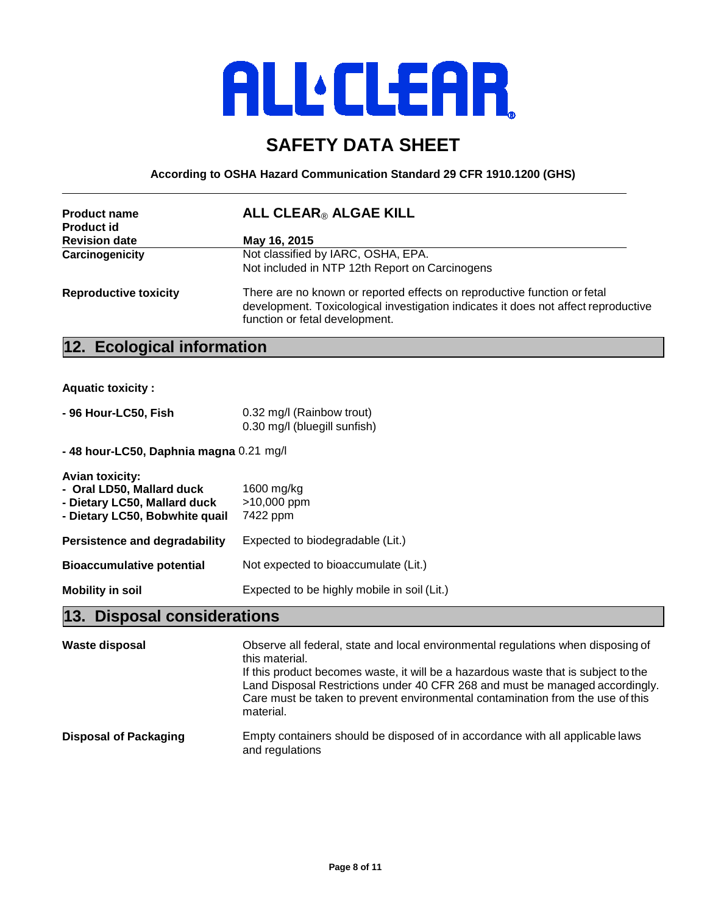### **SAFETY DATA SHEET**

**According to OSHA Hazard Communication Standard 29 CFR 1910.1200 (GHS)**

| <b>Product name</b><br><b>Product id</b> | ALL CLEAR® ALGAE KILL                                                                                                                                                                            |
|------------------------------------------|--------------------------------------------------------------------------------------------------------------------------------------------------------------------------------------------------|
| <b>Revision date</b>                     | May 16, 2015                                                                                                                                                                                     |
| Carcinogenicity                          | Not classified by IARC, OSHA, EPA.                                                                                                                                                               |
|                                          | Not included in NTP 12th Report on Carcinogens                                                                                                                                                   |
| <b>Reproductive toxicity</b>             | There are no known or reported effects on reproductive function or fetal<br>development. Toxicological investigation indicates it does not affect reproductive<br>function or fetal development. |

#### **12. Ecological information**

**Aquatic toxicity :**

| - 96 Hour-LC50, Fish | 0.32 mg/l (Rainbow trout)    |
|----------------------|------------------------------|
|                      | 0.30 mg/l (bluegill sunfish) |

**- 48 hour-LC50, Daphnia magna** 0.21 mg/l

| <b>Avian toxicity:</b><br>- Oral LD50, Mallard duck<br>- Dietary LC50, Mallard duck<br>- Dietary LC50, Bobwhite quail | 1600 mg/kg<br>>10,000 ppm<br>7422 ppm       |
|-----------------------------------------------------------------------------------------------------------------------|---------------------------------------------|
| Persistence and degradability                                                                                         | Expected to biodegradable (Lit.)            |
| <b>Bioaccumulative potential</b>                                                                                      | Not expected to bioaccumulate (Lit.)        |
| <b>Mobility in soil</b>                                                                                               | Expected to be highly mobile in soil (Lit.) |

### **13. Disposal considerations**

| Waste disposal               | Observe all federal, state and local environmental regulations when disposing of<br>this material.<br>If this product becomes waste, it will be a hazardous waste that is subject to the<br>Land Disposal Restrictions under 40 CFR 268 and must be managed accordingly.<br>Care must be taken to prevent environmental contamination from the use of this<br>material. |
|------------------------------|-------------------------------------------------------------------------------------------------------------------------------------------------------------------------------------------------------------------------------------------------------------------------------------------------------------------------------------------------------------------------|
| <b>Disposal of Packaging</b> | Empty containers should be disposed of in accordance with all applicable laws<br>and regulations                                                                                                                                                                                                                                                                        |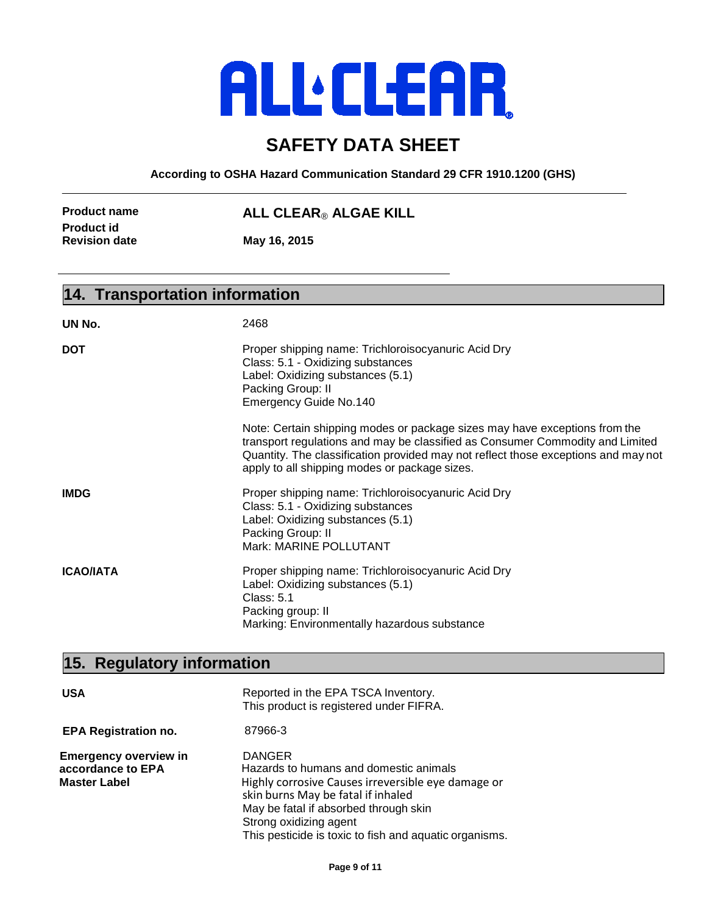# **ALLEERE**

### **SAFETY DATA SHEET**

**According to OSHA Hazard Communication Standard 29 CFR 1910.1200 (GHS)**

**Product id** 

**Product name ALL CLEAR**® **ALGAE KILL**

**Revision date May 16, 2015**

#### **14. Transportation information**

| UN No.           | 2468                                                                                                                                                                                                                                                                                               |
|------------------|----------------------------------------------------------------------------------------------------------------------------------------------------------------------------------------------------------------------------------------------------------------------------------------------------|
| DOT              | Proper shipping name: Trichloroisocyanuric Acid Dry<br>Class: 5.1 - Oxidizing substances<br>Label: Oxidizing substances (5.1)<br>Packing Group: II<br><b>Emergency Guide No.140</b>                                                                                                                |
|                  | Note: Certain shipping modes or package sizes may have exceptions from the<br>transport regulations and may be classified as Consumer Commodity and Limited<br>Quantity. The classification provided may not reflect those exceptions and may not<br>apply to all shipping modes or package sizes. |
| <b>IMDG</b>      | Proper shipping name: Trichloroisocyanuric Acid Dry<br>Class: 5.1 - Oxidizing substances<br>Label: Oxidizing substances (5.1)<br>Packing Group: II<br>Mark: MARINE POLLUTANT                                                                                                                       |
| <b>ICAO/IATA</b> | Proper shipping name: Trichloroisocyanuric Acid Dry<br>Label: Oxidizing substances (5.1)<br><b>Class: 5.1</b><br>Packing group: II<br>Marking: Environmentally hazardous substance                                                                                                                 |

## **15. Regulatory information**

| <b>USA</b>                                                               | Reported in the EPA TSCA Inventory.<br>This product is registered under FIFRA.                                                                                                                                                                                                   |
|--------------------------------------------------------------------------|----------------------------------------------------------------------------------------------------------------------------------------------------------------------------------------------------------------------------------------------------------------------------------|
| <b>EPA Registration no.</b>                                              | 87966-3                                                                                                                                                                                                                                                                          |
| <b>Emergency overview in</b><br>accordance to EPA<br><b>Master Label</b> | <b>DANGER</b><br>Hazards to humans and domestic animals<br>Highly corrosive Causes irreversible eye damage or<br>skin burns May be fatal if inhaled<br>May be fatal if absorbed through skin<br>Strong oxidizing agent<br>This pesticide is toxic to fish and aquatic organisms. |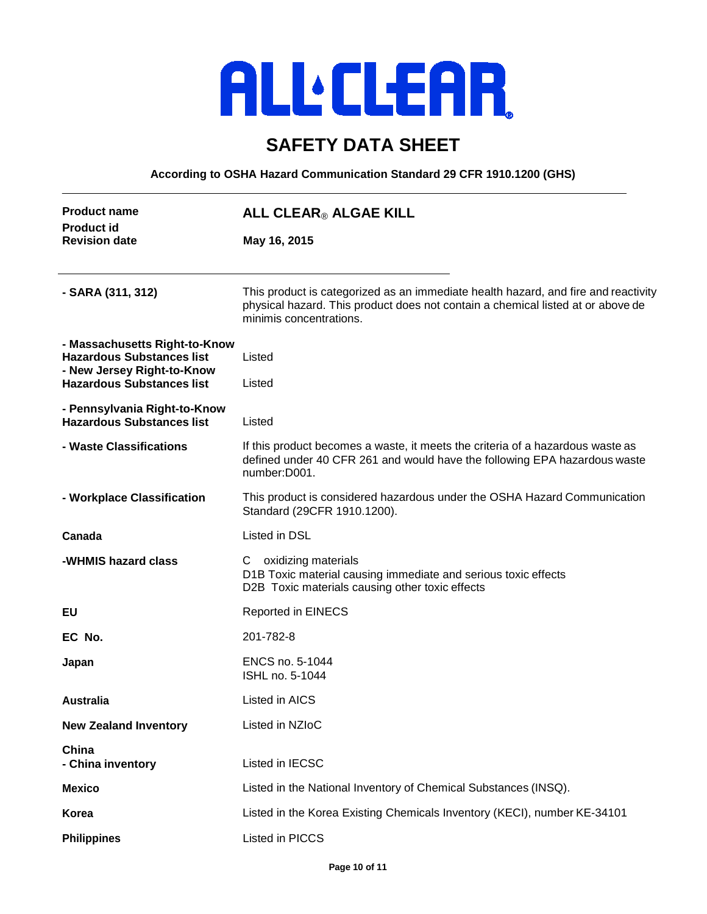### **SAFETY DATA SHEET**

**According to OSHA Hazard Communication Standard 29 CFR 1910.1200 (GHS)**

| <b>Product name</b><br><b>Product id</b><br><b>Revision date</b>                                                                    | ALL CLEAR® ALGAE KILL                                                                                                                                                                            |
|-------------------------------------------------------------------------------------------------------------------------------------|--------------------------------------------------------------------------------------------------------------------------------------------------------------------------------------------------|
|                                                                                                                                     | May 16, 2015                                                                                                                                                                                     |
| - SARA (311, 312)                                                                                                                   | This product is categorized as an immediate health hazard, and fire and reactivity<br>physical hazard. This product does not contain a chemical listed at or above de<br>minimis concentrations. |
| - Massachusetts Right-to-Know<br><b>Hazardous Substances list</b><br>- New Jersey Right-to-Know<br><b>Hazardous Substances list</b> | Listed<br>Listed                                                                                                                                                                                 |
| - Pennsylvania Right-to-Know<br><b>Hazardous Substances list</b>                                                                    | Listed                                                                                                                                                                                           |
| - Waste Classifications                                                                                                             | If this product becomes a waste, it meets the criteria of a hazardous waste as<br>defined under 40 CFR 261 and would have the following EPA hazardous waste<br>number:D001.                      |
| - Workplace Classification                                                                                                          | This product is considered hazardous under the OSHA Hazard Communication<br>Standard (29CFR 1910.1200).                                                                                          |
| Canada                                                                                                                              | Listed in DSL                                                                                                                                                                                    |
| -WHMIS hazard class                                                                                                                 | C oxidizing materials<br>D1B Toxic material causing immediate and serious toxic effects<br>D2B Toxic materials causing other toxic effects                                                       |
| EU                                                                                                                                  | <b>Reported in EINECS</b>                                                                                                                                                                        |
| EC No.                                                                                                                              | 201-782-8                                                                                                                                                                                        |
| Japan                                                                                                                               | ENCS no. 5-1044<br>ISHL no. 5-1044                                                                                                                                                               |
| <b>Australia</b>                                                                                                                    | Listed in AICS                                                                                                                                                                                   |
| <b>New Zealand Inventory</b>                                                                                                        | Listed in NZIoC                                                                                                                                                                                  |
| China<br>- China inventory                                                                                                          | Listed in IECSC                                                                                                                                                                                  |
| <b>Mexico</b>                                                                                                                       | Listed in the National Inventory of Chemical Substances (INSQ).                                                                                                                                  |
| Korea                                                                                                                               | Listed in the Korea Existing Chemicals Inventory (KECI), number KE-34101                                                                                                                         |
| <b>Philippines</b>                                                                                                                  | Listed in PICCS                                                                                                                                                                                  |